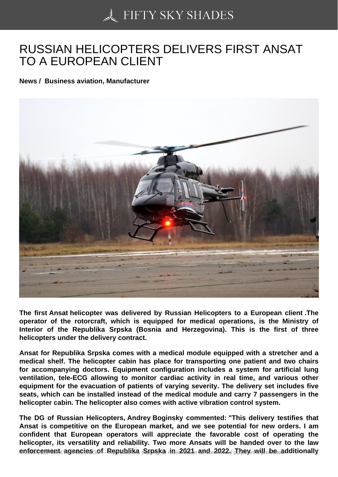## [RUSSIAN HELICOPTE](https://50skyshades.com)RS DELIVERS FIRST ANSAT TO A EUROPEAN CLIENT

News / Business aviation, Manufacturer

The first Ansat helicopter was delivered by Russian Helicopters to a European client .The operator of the rotorcraft, which is equipped for medical operations, is the Ministry of Interior of the Republika Srpska (Bosnia and Herzegovina). This is the first of three helicopters under the delivery contract.

Ansat for Republika Srpska comes with a medical module equipped with a stretcher and a medical shelf. The helicopter cabin has place for transporting one patient and two chairs for accompanying doctors. Equipment configuration includes a system for artificial lung ventilation, tele-ECG allowing to monitor cardiac activity in real time, and various other equipment for the evacuation of patients of varying severity. The delivery set includes five seats, which can be installed instead of the medical module and carry 7 passengers in the helicopter cabin. The helicopter also comes with active vibration control system.

The DG of Russian Helicopters, Andrey Boginsky commented: "This delivery testifies that Ansat is competitive on the European market, and we see potential for new orders. I am confident that European operators will appreciate the favorable cost of operating the helicopter, its versatility and reliability. Two more Ansats will be handed over to the law  $enforements$  agencies cof Republika  $\delta$ rpska in 2021 band  $\delta$ 202 $n$  redisponduction ally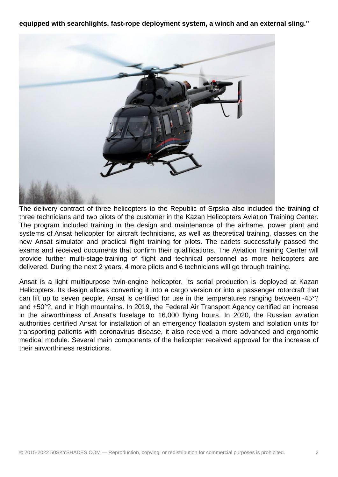**equipped with searchlights, fast-rope deployment system, a winch and an external sling."**



The delivery contract of three helicopters to the Republic of Srpska also included the training of three technicians and two pilots of the customer in the Kazan Helicopters Aviation Training Center. The program included training in the design and maintenance of the airframe, power plant and systems of Ansat helicopter for aircraft technicians, as well as theoretical training, classes on the new Ansat simulator and practical flight training for pilots. The cadets successfully passed the exams and received documents that confirm their qualifications. The Aviation Training Center will provide further multi-stage training of flight and technical personnel as more helicopters are delivered. During the next 2 years, 4 more pilots and 6 technicians will go through training.

Ansat is a light multipurpose twin-engine helicopter. Its serial production is deployed at Kazan Helicopters. Its design allows converting it into a cargo version or into a passenger rotorcraft that can lift up to seven people. Ansat is certified for use in the temperatures ranging between -45°? and +50°?, and in high mountains. In 2019, the Federal Air Transport Agency certified an increase in the airworthiness of Ansat's fuselage to 16,000 flying hours. In 2020, the Russian aviation authorities certified Ansat for installation of an emergency floatation system and isolation units for transporting patients with coronavirus disease, it also received a more advanced and ergonomic medical module. Several main components of the helicopter received approval for the increase of their airworthiness restrictions.